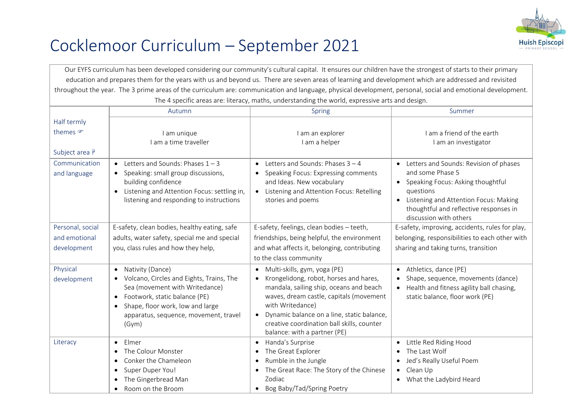

## Cocklemoor Curriculum – September 2021

Our EYFS curriculum has been developed considering our community's cultural capital. It ensures our children have the strongest of starts to their primary education and prepares them for the years with us and beyond us. There are seven areas of learning and development which are addressed and revisited throughout the year. The 3 prime areas of the curriculum are: communication and language, physical development, personal, social and emotional development. The 4 specific areas are: literacy, maths, understanding the world, expressive arts and design. Autumn Spring Summer Half termly themes  $\mathcal{F}$ Subject area I am unique I am a time traveller I am an explorer I am a helper I am a friend of the earth I am an investigator Communication and language  $\bullet$  Letters and Sounds: Phases  $1 - 3$  $\bullet$  Speaking: small group discussions. building confidence **.** Listening and Attention Focus: settling in, listening and responding to instructions  $\bullet$  Letters and Sounds: Phases  $3 - 4$ • Speaking Focus: Expressing comments and Ideas. New vocabulary **.** Listening and Attention Focus: Retelling stories and poems • Letters and Sounds: Revision of phases and some Phase 5 • Speaking Focus: Asking thoughtful questions • Listening and Attention Focus: Making thoughtful and reflective responses in discussion with others Personal, social and emotional development E-safety, clean bodies, healthy eating, safe adults, water safety, special me and special you, class rules and how they help, E-safety, feelings, clean bodies – teeth, friendships, being helpful, the environment and what affects it, belonging, contributing to the class community E-safety, improving, accidents, rules for play, belonging, responsibilities to each other with sharing and taking turns, transition Physical development • Nativity (Dance) Volcano, Circles and Eights, Trains, The Sea (movement with Writedance) Footwork, static balance (PE) • Shape, floor work, low and large apparatus, sequence, movement, travel (Gym) Multi-skills, gym, yoga (PE) • Krongelidong, robot, horses and hares, mandala, sailing ship, oceans and beach waves, dream castle, capitals (movement with Writedance) Dynamic balance on a line, static balance, creative coordination ball skills, counter balance: with a partner (PE) Athletics, dance (PE) • Shape, sequence, movements (dance) • Health and fitness agility ball chasing. static balance, floor work (PE) Literacy **Contact Literacy** • The Colour Monster • Conker the Chameleon • Super Duper You! The Gingerbread Man Room on the Broom • Handa's Surprise • The Great Explorer • Rumble in the Jungle The Great Race: The Story of the Chinese Zodiac • Bog Baby/Tad/Spring Poetry Little Red Riding Hood • The Last Wolf Jed's Really Useful Poem • Clean Up What the Ladybird Heard